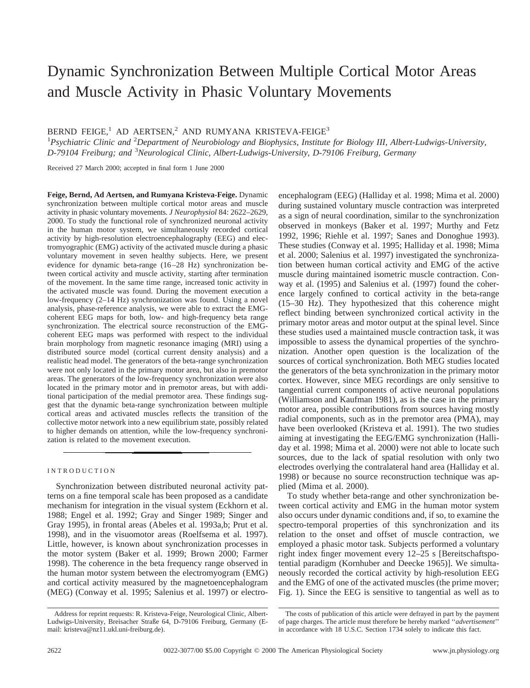# Dynamic Synchronization Between Multiple Cortical Motor Areas and Muscle Activity in Phasic Voluntary Movements

## BERND FEIGE,<sup>1</sup> AD AERTSEN,<sup>2</sup> AND RUMYANA KRISTEVA-FEIGE<sup>3</sup>

<sup>1</sup> Psychiatric Clinic and <sup>2</sup> Department of Neurobiology and Biophysics, Institute for Biology III, Albert-Ludwigs-University, *D-79104 Freiburg; and* <sup>3</sup> *Neurological Clinic, Albert-Ludwigs-University, D-79106 Freiburg, Germany*

Received 27 March 2000; accepted in final form 1 June 2000

**Feige, Bernd, Ad Aertsen, and Rumyana Kristeva-Feige.** Dynamic synchronization between multiple cortical motor areas and muscle activity in phasic voluntary movements. *J Neurophysiol* 84: 2622–2629, 2000. To study the functional role of synchronized neuronal activity in the human motor system, we simultaneously recorded cortical activity by high-resolution electroencephalography (EEG) and electromyographic (EMG) activity of the activated muscle during a phasic voluntary movement in seven healthy subjects. Here, we present evidence for dynamic beta-range (16–28 Hz) synchronization between cortical activity and muscle activity, starting after termination of the movement. In the same time range, increased tonic activity in the activated muscle was found. During the movement execution a low-frequency (2–14 Hz) synchronization was found. Using a novel analysis, phase-reference analysis, we were able to extract the EMGcoherent EEG maps for both, low- and high-frequency beta range synchronization. The electrical source reconstruction of the EMGcoherent EEG maps was performed with respect to the individual brain morphology from magnetic resonance imaging (MRI) using a distributed source model (cortical current density analysis) and a realistic head model. The generators of the beta-range synchronization were not only located in the primary motor area, but also in premotor areas. The generators of the low-frequency synchronization were also located in the primary motor and in premotor areas, but with additional participation of the medial premotor area. These findings suggest that the dynamic beta-range synchronization between multiple cortical areas and activated muscles reflects the transition of the collective motor network into a new equilibrium state, possibly related to higher demands on attention, while the low-frequency synchronization is related to the movement execution.

## INTRODUCTION

Synchronization between distributed neuronal activity patterns on a fine temporal scale has been proposed as a candidate mechanism for integration in the visual system (Eckhorn et al. 1988; Engel et al. 1992; Gray and Singer 1989; Singer and Gray 1995), in frontal areas (Abeles et al. 1993a,b; Prut et al. 1998), and in the visuomotor areas (Roelfsema et al. 1997). Little, however, is known about synchronization processes in the motor system (Baker et al. 1999; Brown 2000; Farmer 1998). The coherence in the beta frequency range observed in the human motor system between the electromyogram (EMG) and cortical activity measured by the magnetoencephalogram (MEG) (Conway et al. 1995; Salenius et al. 1997) or electroencephalogram (EEG) (Halliday et al. 1998; Mima et al. 2000) during sustained voluntary muscle contraction was interpreted as a sign of neural coordination, similar to the synchronization observed in monkeys (Baker et al. 1997; Murthy and Fetz 1992, 1996; Riehle et al. 1997; Sanes and Donoghue 1993). These studies (Conway et al. 1995; Halliday et al. 1998; Mima et al. 2000; Salenius et al. 1997) investigated the synchronization between human cortical activity and EMG of the active muscle during maintained isometric muscle contraction. Conway et al. (1995) and Salenius et al. (1997) found the coherence largely confined to cortical activity in the beta-range (15–30 Hz). They hypothesized that this coherence might reflect binding between synchronized cortical activity in the primary motor areas and motor output at the spinal level. Since these studies used a maintained muscle contraction task, it was impossible to assess the dynamical properties of the synchronization. Another open question is the localization of the sources of cortical synchronization. Both MEG studies located the generators of the beta synchronization in the primary motor cortex. However, since MEG recordings are only sensitive to tangential current components of active neuronal populations (Williamson and Kaufman 1981), as is the case in the primary motor area, possible contributions from sources having mostly radial components, such as in the premotor area (PMA), may have been overlooked (Kristeva et al. 1991). The two studies aiming at investigating the EEG/EMG synchronization (Halliday et al. 1998; Mima et al. 2000) were not able to locate such sources, due to the lack of spatial resolution with only two electrodes overlying the contralateral hand area (Halliday et al. 1998) or because no source reconstruction technique was applied (Mima et al. 2000).

To study whether beta-range and other synchronization between cortical activity and EMG in the human motor system also occurs under dynamic conditions and, if so, to examine the spectro-temporal properties of this synchronization and its relation to the onset and offset of muscle contraction, we employed a phasic motor task. Subjects performed a voluntary right index finger movement every 12–25 s [Bereitschaftspotential paradigm (Kornhuber and Deecke 1965)]. We simultaneously recorded the cortical activity by high-resolution EEG and the EMG of one of the activated muscles (the prime mover; Fig. 1). Since the EEG is sensitive to tangential as well as to

Address for reprint requests: R. Kristeva-Feige, Neurological Clinic, Albert-Ludwigs-University, Breisacher Straße 64, D-79106 Freiburg, Germany (Email: kristeva@nz11.ukl.uni-freiburg.de).

The costs of publication of this article were defrayed in part by the payment of page charges. The article must therefore be hereby marked ''*advertisement*'' in accordance with 18 U.S.C. Section 1734 solely to indicate this fact.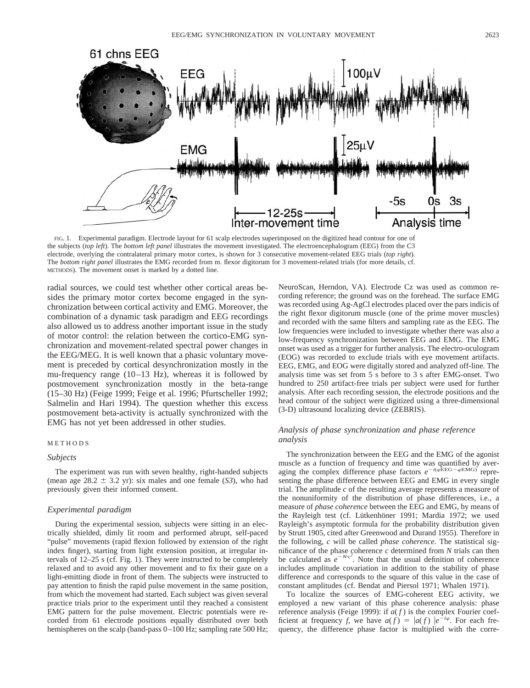

FIG. 1. Experimental paradigm. Electrode layout for 61 scalp electrodes superimposed on the digitized head contour for one of the subjects (*top left*). The *bottom left panel* illustrates the movement investigated. The electroencephalogram (EEG) from the C3 electrode, overlying the contralateral primary motor cortex, is shown for 3 consecutive movement-related EEG trials (*top right*). The *bottom right panel* illustrates the EMG recorded from m. flexor digitorum for 3 movement-related trials (for more details, cf. METHODS). The movement onset is marked by a dotted line.

radial sources, we could test whether other cortical areas besides the primary motor cortex become engaged in the synchronization between cortical activity and EMG. Moreover, the combination of a dynamic task paradigm and EEG recordings also allowed us to address another important issue in the study of motor control: the relation between the cortico-EMG synchronization and movement-related spectral power changes in the EEG/MEG. It is well known that a phasic voluntary movement is preceded by cortical desynchronization mostly in the mu-frequency range (10–13 Hz), whereas it is followed by postmovement synchronization mostly in the beta-range (15–30 Hz) (Feige 1999; Feige et al. 1996; Pfurtscheller 1992; Salmelin and Hari 1994). The question whether this excess postmovement beta-activity is actually synchronized with the EMG has not yet been addressed in other studies.

## METHODS

#### *Subjects*

The experiment was run with seven healthy, right-handed subjects (mean age  $28.2 \pm 3.2$  yr): six males and one female (*S3*), who had previously given their informed consent.

## *Experimental paradigm*

During the experimental session, subjects were sitting in an electrically shielded, dimly lit room and performed abrupt, self-paced "pulse" movements (rapid flexion followed by extension of the right index finger), starting from light extension position, at irregular intervals of 12–25 s (cf. Fig. 1). They were instructed to be completely relaxed and to avoid any other movement and to fix their gaze on a light-emitting diode in front of them. The subjects were instructed to pay attention to finish the rapid pulse movement in the same position, from which the movement had started. Each subject was given several practice trials prior to the experiment until they reached a consistent EMG pattern for the pulse movement. Electric potentials were recorded from 61 electrode positions equally distributed over both hemispheres on the scalp (band-pass 0–100 Hz; sampling rate 500 Hz; NeuroScan, Herndon, VA). Electrode Cz was used as common recording reference; the ground was on the forehead. The surface EMG was recorded using Ag-AgCl electrodes placed over the pars indicis of the right flexor digitorum muscle (one of the prime mover muscles) and recorded with the same filters and sampling rate as the EEG. The low frequencies were included to investigate whether there was also a low-frequency synchronization between EEG and EMG. The EMG onset was used as a trigger for further analysis. The electro-oculogram (EOG) was recorded to exclude trials with eye movement artifacts. EEG, EMG, and EOG were digitally stored and analyzed off-line. The analysis time was set from 5 s before to 3 s after EMG-onset. Two hundred to 250 artifact-free trials per subject were used for further analysis. After each recording session, the electrode positions and the head contour of the subject were digitized using a three-dimensional (3-D) ultrasound localizing device (ZEBRIS).

## *Analysis of phase synchronization and phase reference analysis*

The synchronization between the EEG and the EMG of the agonist muscle as a function of frequency and time was quantified by averaging the complex difference phase factors  $e^{-i(\varphi \text{EEG} - \varphi \text{EMG})}$  representing the phase difference between EEG and EMG in every single trial. The amplitude *c* of the resulting average represents a measure of the nonuniformity of the distribution of phase differences, i.e., a measure of *phase coherence* between the EEG and EMG, by means of the Rayleigh test (cf. Lütkenhöner 1991; Mardia 1972; we used Rayleigh's asymptotic formula for the probability distribution given by Strutt 1905, cited after Greenwood and Durand 1955). Therefore in the following, *c* will be called *phase coherence*. The statistical significance of the phase coherence *c* determined from *N* trials can then be calculated as  $e^{-N \cdot c^2}$ . Note that the usual definition of coherence includes amplitude covariation in addition to the stability of phase difference and corresponds to the square of this value in the case of constant amplitudes (cf. Bendat and Piersol 1971; Whalen 1971).

To localize the sources of EMG-coherent EEG activity, we employed a new variant of this phase coherence analysis: phase reference analysis (Feige 1999): if  $a(f)$  is the complex Fourier coefficient at frequency *f*, we have  $a(f) = |a(f)|e^{-i\varphi}$ . For each frequency, the difference phase factor is multiplied with the corre-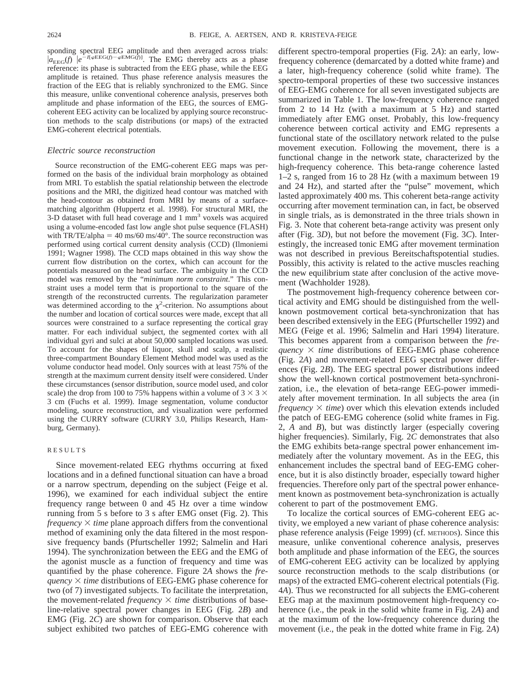sponding spectral EEG amplitude and then averaged across trials:  $|\vec{a}_{\text{EEG}}(f)|e^{-f[\varphi \text{EEG}(f)-\varphi \text{EMG}(f)]}$ . The EMG thereby acts as a phase reference: its phase is subtracted from the EEG phase, while the EEG amplitude is retained. Thus phase reference analysis measures the fraction of the EEG that is reliably synchronized to the EMG. Since this measure, unlike conventional coherence analysis, preserves both amplitude and phase information of the EEG, the sources of EMGcoherent EEG activity can be localized by applying source reconstruction methods to the scalp distributions (or maps) of the extracted EMG-coherent electrical potentials.

#### *Electric source reconstruction*

Source reconstruction of the EMG-coherent EEG maps was performed on the basis of the individual brain morphology as obtained from MRI. To establish the spatial relationship between the electrode positions and the MRI, the digitized head contour was matched with the head-contour as obtained from MRI by means of a surfacematching algorithm (Huppertz et al. 1998). For structural MRI, the 3-D dataset with full head coverage and 1 mm<sup>3</sup> voxels was acquired using a volume-encoded fast low angle shot pulse sequence (FLASH) with TR/TE/alpha = 40 ms/60 ms/40 $^{\circ}$ . The source reconstruction was performed using cortical current density analysis (CCD) (Ilmoniemi 1991; Wagner 1998). The CCD maps obtained in this way show the current flow distribution on the cortex, which can account for the potentials measured on the head surface. The ambiguity in the CCD model was removed by the "*minimum norm constraint*." This constraint uses a model term that is proportional to the square of the strength of the reconstructed currents. The regularization parameter was determined according to the  $\chi^2$ -criterion. No assumptions about the number and location of cortical sources were made, except that all sources were constrained to a surface representing the cortical gray matter. For each individual subject, the segmented cortex with all individual gyri and sulci at about 50,000 sampled locations was used. To account for the shapes of liquor, skull and scalp, a realistic three-compartment Boundary Element Method model was used as the volume conductor head model. Only sources with at least 75% of the strength at the maximum current density itself were considered. Under these circumstances (sensor distribution, source model used, and color scale) the drop from 100 to 75% happens within a volume of  $3 \times 3 \times$ 3 cm (Fuchs et al. 1999). Image segmentation, volume conductor modeling, source reconstruction, and visualization were performed using the CURRY software (CURRY 3.0, Philips Research, Hamburg, Germany).

### RESULTS

Since movement-related EEG rhythms occurring at fixed locations and in a defined functional situation can have a broad or a narrow spectrum, depending on the subject (Feige et al. 1996), we examined for each individual subject the entire frequency range between 0 and 45 Hz over a time window running from 5 s before to 3 s after EMG onset (Fig. 2). This *frequency*  $\times$  *time* plane approach differs from the conventional method of examining only the data filtered in the most responsive frequency bands (Pfurtscheller 1992; Salmelin and Hari 1994). The synchronization between the EEG and the EMG of the agonist muscle as a function of frequency and time was quantified by the phase coherence. Figure 2*A* shows the *frequency*  $\times$  *time* distributions of EEG-EMG phase coherence for two (of 7) investigated subjects. To facilitate the interpretation, the movement-related *frequency*  $\times$  *time* distributions of baseline-relative spectral power changes in EEG (Fig. 2*B*) and EMG (Fig. 2*C*) are shown for comparison. Observe that each subject exhibited two patches of EEG-EMG coherence with

different spectro-temporal properties (Fig. 2*A*): an early, lowfrequency coherence (demarcated by a dotted white frame) and a later, high-frequency coherence (solid white frame). The spectro-temporal properties of these two successive instances of EEG-EMG coherence for all seven investigated subjects are summarized in Table 1. The low-frequency coherence ranged from 2 to 14 Hz (with a maximum at 5 Hz) and started immediately after EMG onset. Probably, this low-frequency coherence between cortical activity and EMG represents a functional state of the oscillatory network related to the pulse movement execution. Following the movement, there is a functional change in the network state, characterized by the high-frequency coherence. This beta-range coherence lasted 1–2 s, ranged from 16 to 28 Hz (with a maximum between 19 and 24 Hz), and started after the "pulse" movement, which lasted approximately 400 ms. This coherent beta-range activity occurring after movement termination can, in fact, be observed in single trials, as is demonstrated in the three trials shown in Fig. 3. Note that coherent beta-range activity was present only after (Fig. 3*D*), but not before the movement (Fig. 3*C*). Interestingly, the increased tonic EMG after movement termination was not described in previous Bereitschaftspotential studies. Possibly, this activity is related to the active muscles reaching the new equilibrium state after conclusion of the active movement (Wachholder 1928).

The postmovement high-frequency coherence between cortical activity and EMG should be distinguished from the wellknown postmovement cortical beta-synchronization that has been described extensively in the EEG (Pfurtscheller 1992) and MEG (Feige et al. 1996; Salmelin and Hari 1994) literature. This becomes apparent from a comparison between the *fre-* $\alpha$ *quency*  $\times$  *time* distributions of EEG-EMG phase coherence (Fig. 2*A*) and movement-related EEG spectral power differences (Fig. 2*B*). The EEG spectral power distributions indeed show the well-known cortical postmovement beta-synchronization, i.e., the elevation of beta-range EEG-power immediately after movement termination. In all subjects the area (in *frequency*  $\times$  *time*) over which this elevation extends included the patch of EEG-EMG coherence (solid white frames in Fig. 2, *A* and *B*), but was distinctly larger (especially covering higher frequencies). Similarly, Fig. 2*C* demonstrates that also the EMG exhibits beta-range spectral power enhancement immediately after the voluntary movement. As in the EEG, this enhancement includes the spectral band of EEG-EMG coherence, but it is also distinctly broader, especially toward higher frequencies. Therefore only part of the spectral power enhancement known as postmovement beta-synchronization is actually coherent to part of the postmovement EMG.

To localize the cortical sources of EMG-coherent EEG activity, we employed a new variant of phase coherence analysis: phase reference analysis (Feige 1999) (cf. METHODS). Since this measure, unlike conventional coherence analysis, preserves both amplitude and phase information of the EEG, the sources of EMG-coherent EEG activity can be localized by applying source reconstruction methods to the scalp distributions (or maps) of the extracted EMG-coherent electrical potentials (Fig. 4*A*). Thus we reconstructed for all subjects the EMG-coherent EEG map at the maximum postmovement high-frequency coherence (i.e., the peak in the solid white frame in Fig. 2*A*) and at the maximum of the low-frequency coherence during the movement (i.e., the peak in the dotted white frame in Fig. 2*A*)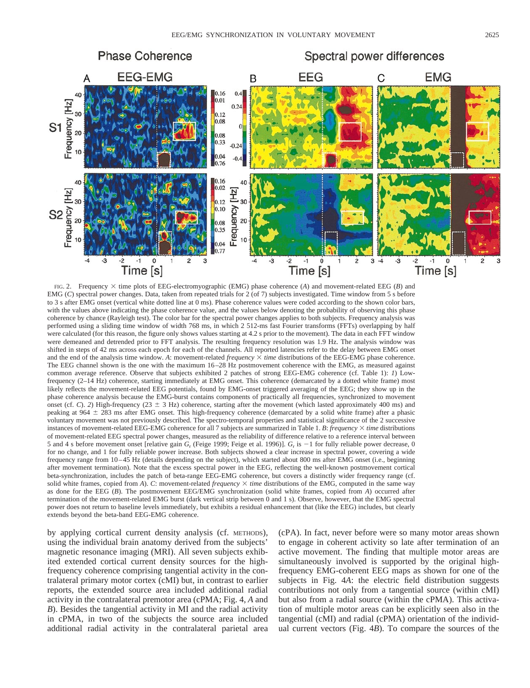

FIG. 2. Frequency  $\times$  time plots of EEG-electromyographic (EMG) phase coherence (*A*) and movement-related EEG (*B*) and EMG (*C*) spectral power changes. Data, taken from repeated trials for 2 (of 7) subjects investigated. Time window from 5 s before to 3 s after EMG onset (vertical white dotted line at 0 ms). Phase coherence values were coded according to the shown color bars, with the values above indicating the phase coherence value, and the values below denoting the probability of observing this phase coherence by chance (Rayleigh test). The color bar for the spectral power changes applies to both subjects. Frequency analysis was performed using a sliding time window of width 768 ms, in which 2 512-ms fast Fourier transforms (FFTs) overlapping by half were calculated (for this reason, the figure only shows values starting at 4.2 s prior to the movement). The data in each FFT window were demeaned and detrended prior to FFT analysis. The resulting frequency resolution was 1.9 Hz. The analysis window was shifted in steps of 42 ms across each epoch for each of the channels. All reported latencies refer to the delay between EMG onset and the end of the analysis time window. A: movement-related *frequency*  $\times$  *time* distributions of the EEG-EMG phase coherence. The EEG channel shown is the one with the maximum 16–28 Hz postmovement coherence with the EMG, as measured against common average reference. Observe that subjects exhibited 2 patches of strong EEG-EMG coherence (cf. Table 1): *1*) Lowfrequency (2–14 Hz) coherence, starting immediately at EMG onset. This coherence (demarcated by a dotted white frame) most likely reflects the movement-related EEG potentials, found by EMG-onset triggered averaging of the EEG; they show up in the phase coherence analysis because the EMG-burst contains components of practically all frequencies, synchronized to movement onset (cf. *C*). 2) High-frequency (23  $\pm$  3 Hz) coherence, starting after the movement (which lasted approximately 400 ms) and peaking at  $964 \pm 283$  ms after EMG onset. This high-frequency coherence (demarcated by a solid white frame) after a phasic voluntary movement was not previously described. The spectro-temporal properties and statistical significance of the 2 successive instances of movement-related EEG-EMG coherence for all 7 subjects are summarized in Table 1. *B: frequency*  $\times$  *time* distributions of movement-related EEG spectral power changes, measured as the reliability of difference relative to a reference interval between 5 and 4 s before movement onset [relative gain  $G_r$  (Feige 1999; Feige et al. 1996)].  $G_r$  is  $-1$  for fully reliable power decrease, 0 for no change, and 1 for fully reliable power increase. Both subjects showed a clear increase in spectral power, covering a wide frequency range from 10–45 Hz (details depending on the subject), which started about 800 ms after EMG onset (i.e., beginning after movement termination). Note that the excess spectral power in the EEG, reflecting the well-known postmovement cortical beta-synchronization, includes the patch of beta-range EEG-EMG coherence, but covers a distinctly wider frequency range (cf. solid white frames, copied from *A*). *C*: movement-related *frequency*  $\times$  *time* distributions of the EMG, computed in the same way as done for the EEG (*B*). The postmovement EEG/EMG synchronization (solid white frames, copied from *A*) occurred after termination of the movement-related EMG burst (dark vertical strip between 0 and 1 s). Observe, however, that the EMG spectral power does not return to baseline levels immediately, but exhibits a residual enhancement that (like the EEG) includes, but clearly extends beyond the beta-band EEG-EMG coherence.

by applying cortical current density analysis (cf. METHODS)*,* using the individual brain anatomy derived from the subjects' magnetic resonance imaging (MRI). All seven subjects exhibited extended cortical current density sources for the highfrequency coherence comprising tangential activity in the contralateral primary motor cortex (cMI) but, in contrast to earlier reports, the extended source area included additional radial activity in the contralateral premotor area (cPMA; Fig. 4, *A* and *B*). Besides the tangential activity in MI and the radial activity in cPMA, in two of the subjects the source area included additional radial activity in the contralateral parietal area

(cPA). In fact, never before were so many motor areas shown to engage in coherent activity so late after termination of an active movement. The finding that multiple motor areas are simultaneously involved is supported by the original highfrequency EMG-coherent EEG maps as shown for one of the subjects in Fig. 4*A*: the electric field distribution suggests contributions not only from a tangential source (within cMI) but also from a radial source (within the cPMA). This activation of multiple motor areas can be explicitly seen also in the tangential (cMI) and radial (cPMA) orientation of the individual current vectors (Fig. 4*B*). To compare the sources of the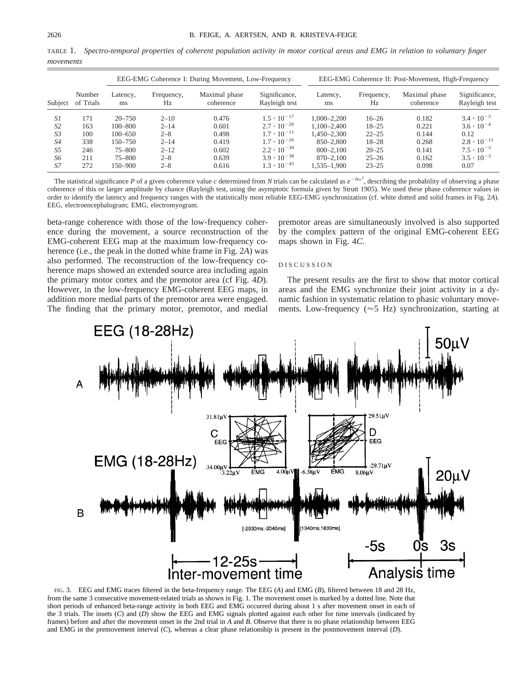TABLE 1. *Spectro-temporal properties of coherent population activity in motor cortical areas and EMG in relation to voluntary finger movements*

|                |                     | EEG-EMG Coherence I: During Movement, Low-Frequency |                  |                            |                                | EEG-EMG Coherence II: Post-Movement, High-Frequency |                  |                            |                                |
|----------------|---------------------|-----------------------------------------------------|------------------|----------------------------|--------------------------------|-----------------------------------------------------|------------------|----------------------------|--------------------------------|
| Subject        | Number<br>of Trials | Latency,<br>ms                                      | Frequency,<br>Hz | Maximal phase<br>coherence | Significance,<br>Rayleigh test | Latency,<br>ms                                      | Frequency,<br>Hz | Maximal phase<br>coherence | Significance,<br>Rayleigh test |
| -S I           | 171                 | $20 - 750$                                          | $2 - 10$         | 0.476                      | $1.5 \cdot 10^{-17}$           | 1.000-2.200                                         | $16 - 26$        | 0.182                      | $3.4 \cdot 10^{-3}$            |
| S <sub>2</sub> | 163                 | $100 - 800$                                         | $2 - 14$         | 0.601                      | $2.7 \cdot 10^{-26}$           | 1.100-2.400                                         | $18 - 25$        | 0.221                      | $3.6 \cdot 10^{-4}$            |
| S <sub>3</sub> | 100                 | $100 - 650$                                         | $2 - 8$          | 0.498                      | $1.7 \cdot 10^{-11}$           | 1,450–2,300                                         | $22 - 25$        | 0.144                      | 0.12                           |
| S4             | 338                 | $150 - 750$                                         | $2 - 14$         | 0.419                      | $1.7 \cdot 10^{-26}$           | 850-2,800                                           | $18 - 28$        | 0.268                      | $2.8 \cdot 10^{-11}$           |
| S <sub>5</sub> | 246                 | 75–800                                              | $2 - 12$         | 0.602                      | $2.2 \cdot 10^{-39}$           | $800 - 2.100$                                       | $20 - 25$        | 0.141                      | $7.5 \cdot 10^{-3}$            |
| S6             | 211                 | 75–800                                              | $2 - 8$          | 0.639                      | $3.9 \cdot 10^{-38}$           | $870 - 2.100$                                       | $25 - 26$        | 0.162                      | $3.5 \cdot 10^{-3}$            |
| S7             | 272                 | $150 - 900$                                         | $2 - 8$          | 0.616                      | $1.3 \cdot 10^{-45}$           | 1,535–1,900                                         | $23 - 25$        | 0.098                      | 0.07                           |

The statistical significance *P* of a given coherence value *c* determined from *N* trials can be calculated as  $e^{-Nc^2}$ , describing the probability of observing a phase coherence of this or larger amplitude by chance (Rayleigh test, using the asymptotic formula given by Strutt 1905). We used these phase coherence values in order to identify the latency and frequency ranges with the statistically most reliable EEG-EMG synchronization (cf. white dotted and solid frames in Fig. 2*A*). EEG, electroencephalogram; EMG, electromyogram.

beta-range coherence with those of the low-frequency coherence during the movement, a source reconstruction of the EMG-coherent EEG map at the maximum low-frequency coherence (i.e., the peak in the dotted white frame in Fig. 2*A*) was also performed. The reconstruction of the low-frequency coherence maps showed an extended source area including again the primary motor cortex and the premotor area (cf Fig. 4*D*). However, in the low-frequency EMG-coherent EEG maps, in addition more medial parts of the premotor area were engaged. The finding that the primary motor, premotor, and medial

premotor areas are simultaneously involved is also supported by the complex pattern of the original EMG-coherent EEG maps shown in Fig. 4*C*.

#### DISCUSSION

The present results are the first to show that motor cortical areas and the EMG synchronize their joint activity in a dynamic fashion in systematic relation to phasic voluntary movements. Low-frequency ( $\approx$ 5 Hz) synchronization, starting at



FIG. 3. EEG and EMG traces filtered in the beta-frequency range. The EEG (*A*) and EMG (*B*), filtered between 18 and 28 Hz, from the same 3 consecutive movement-related trials as shown in Fig. 1. The movement onset is marked by a dotted line. Note that short periods of enhanced beta-range activity in both EEG and EMG occurred during about 1 s after movement onset in each of the 3 trials. The insets (*C*) and (*D*) show the EEG and EMG signals plotted against each other for time intervals (indicated by frames) before and after the movement onset in the 2nd trial in *A* and *B*. Observe that there is no phase relationship between EEG and EMG in the premovement interval (*C*), whereas a clear phase relationship is present in the postmovement interval (*D*).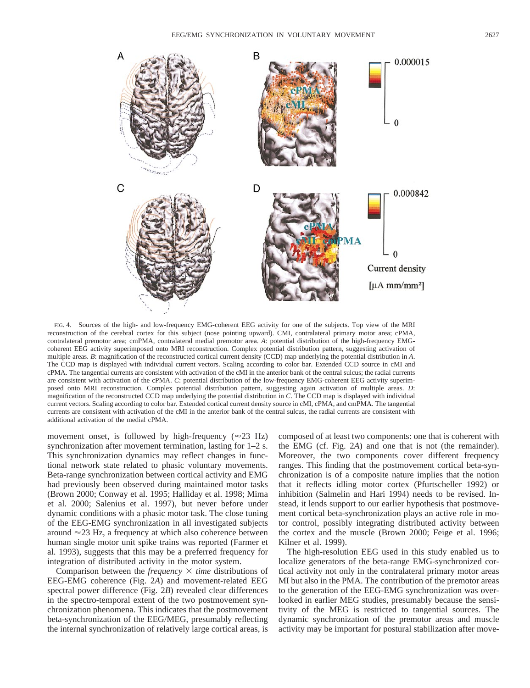

FIG. 4. Sources of the high- and low-frequency EMG-coherent EEG activity for one of the subjects. Top view of the MRI reconstruction of the cerebral cortex for this subject (nose pointing upward). CMI, contralateral primary motor area; cPMA, contralateral premotor area; cmPMA, contralateral medial premotor area. *A*: potential distribution of the high-frequency EMGcoherent EEG activity superimposed onto MRI reconstruction. Complex potential distribution pattern, suggesting activation of multiple areas. *B*: magnification of the reconstructed cortical current density (CCD) map underlying the potential distribution in *A*. The CCD map is displayed with individual current vectors. Scaling according to color bar. Extended CCD source in cMI and cPMA. The tangential currents are consistent with activation of the cMI in the anterior bank of the central sulcus; the radial currents are consistent with activation of the cPMA. *C*: potential distribution of the low-frequency EMG-coherent EEG activity superimposed onto MRI reconstruction. Complex potential distribution pattern, suggesting again activation of multiple areas. *D*: magnification of the reconstructed CCD map underlying the potential distribution in *C*. The CCD map is displayed with individual current vectors. Scaling according to color bar. Extended cortical current density source in cMI, cPMA, and cmPMA. The tangential currents are consistent with activation of the cMI in the anterior bank of the central sulcus, the radial currents are consistent with additional activation of the medial cPMA.

movement onset, is followed by high-frequency ( $\approx$ 23 Hz) synchronization after movement termination, lasting for  $1-2$  s. This synchronization dynamics may reflect changes in functional network state related to phasic voluntary movements. Beta-range synchronization between cortical activity and EMG had previously been observed during maintained motor tasks (Brown 2000; Conway et al. 1995; Halliday et al. 1998; Mima et al. 2000; Salenius et al. 1997), but never before under dynamic conditions with a phasic motor task. The close tuning of the EEG-EMG synchronization in all investigated subjects around  $\approx$  23 Hz, a frequency at which also coherence between human single motor unit spike trains was reported (Farmer et al. 1993), suggests that this may be a preferred frequency for integration of distributed activity in the motor system.

Comparison between the *frequency*  $\times$  *time* distributions of EEG-EMG coherence (Fig. 2*A*) and movement-related EEG spectral power difference (Fig. 2*B*) revealed clear differences in the spectro-temporal extent of the two postmovement synchronization phenomena. This indicates that the postmovement beta-synchronization of the EEG/MEG, presumably reflecting the internal synchronization of relatively large cortical areas, is

composed of at least two components: one that is coherent with the EMG (cf. Fig. 2*A*) and one that is not (the remainder). Moreover, the two components cover different frequency ranges. This finding that the postmovement cortical beta-synchronization is of a composite nature implies that the notion that it reflects idling motor cortex (Pfurtscheller 1992) or inhibition (Salmelin and Hari 1994) needs to be revised. Instead, it lends support to our earlier hypothesis that postmovement cortical beta-synchronization plays an active role in motor control, possibly integrating distributed activity between the cortex and the muscle (Brown 2000; Feige et al. 1996; Kilner et al. 1999).

The high-resolution EEG used in this study enabled us to localize generators of the beta-range EMG-synchronized cortical activity not only in the contralateral primary motor areas MI but also in the PMA. The contribution of the premotor areas to the generation of the EEG-EMG synchronization was overlooked in earlier MEG studies, presumably because the sensitivity of the MEG is restricted to tangential sources. The dynamic synchronization of the premotor areas and muscle activity may be important for postural stabilization after move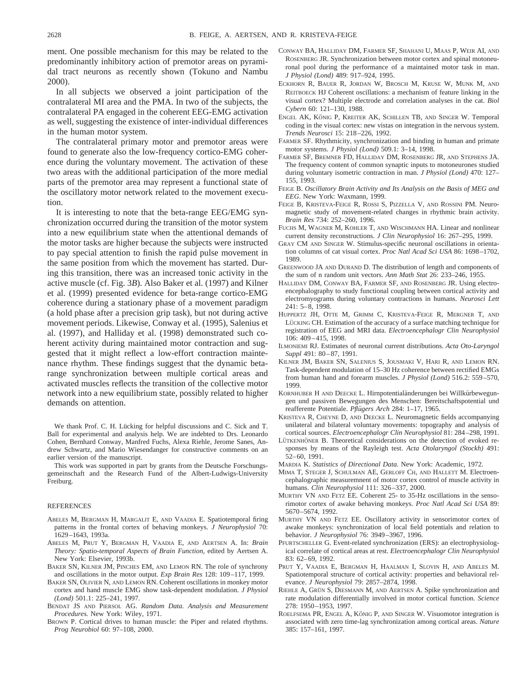ment. One possible mechanism for this may be related to the predominantly inhibitory action of premotor areas on pyramidal tract neurons as recently shown (Tokuno and Nambu 2000).

In all subjects we observed a joint participation of the contralateral MI area and the PMA. In two of the subjects, the contralateral PA engaged in the coherent EEG-EMG activation as well, suggesting the existence of inter-individual differences in the human motor system.

The contralateral primary motor and premotor areas were found to generate also the low-frequency cortico-EMG coherence during the voluntary movement. The activation of these two areas with the additional participation of the more medial parts of the premotor area may represent a functional state of the oscillatory motor network related to the movement execution.

It is interesting to note that the beta-range EEG/EMG synchronization occurred during the transition of the motor system into a new equilibrium state when the attentional demands of the motor tasks are higher because the subjects were instructed to pay special attention to finish the rapid pulse movement in the same position from which the movement has started. During this transition, there was an increased tonic activity in the active muscle (cf. Fig. 3*B*). Also Baker et al. (1997) and Kilner et al. (1999) presented evidence for beta-range cortico-EMG coherence during a stationary phase of a movement paradigm (a hold phase after a precision grip task), but not during active movement periods. Likewise, Conway et al. (1995), Salenius et al. (1997), and Halliday et al. (1998) demonstrated such coherent activity during maintained motor contraction and suggested that it might reflect a low-effort contraction maintenance rhythm. These findings suggest that the dynamic betarange synchronization between multiple cortical areas and activated muscles reflects the transition of the collective motor network into a new equilibrium state, possibly related to higher demands on attention.

We thank Prof. C. H. Lücking for helpful discussions and C. Sick and T. Ball for experimental and analysis help. We are indebted to Drs. Leonardo Cohen, Bernhard Conway, Manfred Fuchs, Alexa Riehle, Jerome Sanes, Andrew Schwartz, and Mario Wiesendanger for constructive comments on an earlier version of the manuscript.

This work was supported in part by grants from the Deutsche Forschungsgemeinschaft and the Research Fund of the Albert-Ludwigs-University Freiburg.

#### REFERENCES

- ABELES M, BERGMAN H, MARGALIT E, AND VAADIA E. Spatiotemporal firing patterns in the frontal cortex of behaving monkeys. *J Neurophysiol* 70: 1629–1643, 1993a.
- ABELES M, PRUT Y, BERGMAN H, VAADIA E, AND AERTSEN A. In: *Brain Theory: Spatio-temporal Aspects of Brain Function,* edited by Aertsen A. New York: Elsevier, 1993b.
- BAKER SN, KILNER JM, PINCHES EM, AND LEMON RN. The role of synchrony and oscillations in the motor output. *Exp Brain Res* 128: 109–117, 1999.
- BAKER SN, OLIVIER N, AND LEMON RN. Coherent oscillations in monkey motor cortex and hand muscle EMG show task-dependent modulation. *J Physiol (Lond)* 501.1: 225–241, 1997.
- BENDAT JS AND PIERSOL AG. *Random Data. Analysis and Measurement Procedures.* New York: Wiley, 1971.
- BROWN P. Cortical drives to human muscle: the Piper and related rhythms. *Prog Neurobiol* 60: 97–108, 2000.
- CONWAY BA, HALLIDAY DM, FARMER SF, SHAHANI U, MAAS P, WEIR AI, AND ROSENBERG JR. Synchronization between motor cortex and spinal motoneuronal pool during the performance of a maintained motor task in man. *J Physiol (Lond)* 489: 917–924, 1995.
- ECKHORN R, BAUER R, JORDAN W, BROSCH M, KRUSE W, MUNK M, AND REITBOECK HJ Coherent oscillations: a mechanism of feature linking in the visual cortex? Multiple electrode and correlation analyses in the cat. *Biol Cybern* 60: 121–130, 1988.
- ENGEL AK, KÖNIG P, KREITER AK, SCHILLEN TB, AND SINGER W. Temporal coding in the visual cortex: new vistas on integration in the nervous system. *Trends Neurosci* 15: 218–226, 1992.
- FARMER SF. Rhythmicity, synchronization and binding in human and primate motor systems. *J Physiol (Lond)* 509.1: 3–14, 1998.
- FARMER SF, BREMNER FD, HALLIDAY DM, ROSENBERG JR, AND STEPHENS JA. The frequency content of common synaptic inputs to motoneurones studied during voluntary isometric contraction in man. *J Physiol (Lond)* 470: 127– 155, 1993.
- FEIGE B. *Oscillatory Brain Activity and Its Analysis on the Basis of MEG and EEG*. New York: Waxmann, 1999.
- FEIGE B, KRISTEVA-FEIGE R, ROSSI S, PIZZELLA V, AND ROSSINI PM. Neuromagnetic study of movement-related changes in rhythmic brain activity. *Brain Res* 734: 252–260, 1996.
- FUCHS M, WAGNER M, KOHLER T, AND WISCHMANN HA. Linear and nonlinear current density reconstructions. *J Clin Neurophysiol* 16: 267–295, 1999.
- GRAY CM AND SINGER W. Stimulus-specific neuronal oscillations in orientation columns of cat visual cortex. *Proc Natl Acad Sci USA* 86: 1698–1702, 1989.
- GREENWOOD JA AND DURAND D. The distribution of length and components of the sum of n random unit vectors. *Ann Math Stat* 26: 233–246, 1955.
- HALLIDAY DM, CONWAY BA, FARMER SF, AND ROSENBERG JR. Using electroencephalography to study functional coupling between cortical activity and electromyograms during voluntary contractions in humans. *Neurosci Lett* 241: 5–8, 1998.
- HUPPERTZ JH, OTTE M, GRIMM C, KRISTEVA-FEIGE R, MERGNER T, AND LÜCKING CH. Estimation of the accuracy of a surface matching technique for registration of EEG and MRI data. *Electroencephalogr Clin Neurophysiol* 106: 409–415, 1998.
- ILMONIEMI RJ. Estimates of neuronal current distributions. *Acta Oto-Laryngol Suppl* 491: 80–87, 1991.
- KILNER JM, BAKER SN, SALENIUS S, JOUSMAKI V, HARI R, AND LEMON RN. Task-dependent modulation of 15–30 Hz coherence between rectified EMGs from human hand and forearm muscles. *J Physiol (Lond)* 516.2: 559–570, 1999.
- KORNHUBER H AND DEECKE L. Hirnpotentialänderungen bei Willkürbewegungen und passiven Bewegungen des Menschen: Bereitschaftspotential und reafferente Potentiale. *Pflügers Arch* 284: 1-17, 1965.
- KRISTEVA R, CHEYNE D, AND DEECKE L. Neuromagnetic fields accompanying unilateral and bilateral voluntary movements: topography and analysis of cortical sources. *Electroencephalogr Clin Neurophysiol* 81: 284–298, 1991.
- LÜTKENHÖNER B. Theoretical considerations on the detection of evoked responses by means of the Rayleigh test. *Acta Otolaryngol (Stockh)* 491: 52–60, 1991.
- MARDIA K. *Statistics of Directional Data.* New York: Academic, 1972.
- MIMA T, STEGER J, SCHULMAN AE, GERLOFF CH, AND HALLETT M. Electroencephalographic measuremnent of motor cortex control of muscle activity in humans. *Clin Neurophysiol* 111: 326–337, 2000.
- MURTHY VN AND FETZ EE. Coherent 25- to 35-Hz oscillations in the sensorimotor cortex of awake behaving monkeys. *Proc Natl Acad Sci USA* 89: 5670–5674, 1992.
- MURTHY VN AND FETZ EE. Oscillatory activity in sensorimotor cortex of awake monkeys: synchronization of local field potentials and relation to behavior. *J Neurophysiol* 76: 3949–3967, 1996.
- PFURTSCHELLER G. Event-related synchronization (ERS): an electrophysiological correlate of cortical areas at rest. *Electroencephalogr Clin Neurophysiol* 83: 62–69, 1992.
- PRUT Y, VAADIA E, BERGMAN H, HAALMAN I, SLOVIN H, AND ABELES M. Spatiotemporal structure of cortical activity: properties and behavioral relevance. *J Neurophysiol* 79: 2857–2874, 1998.
- RIEHLE A, GRÜN S, DIESMANN M, AND AERTSEN A. Spike synchronization and rate modulation differentially involved in motor cortical function. *Science* 278: 1950–1953, 1997.
- ROELFSEMA PR, ENGEL A, KÖNIG P, AND SINGER W. Visuomotor integration is associated with zero time-lag synchronization among cortical areas. *Nature* 385: 157–161, 1997.